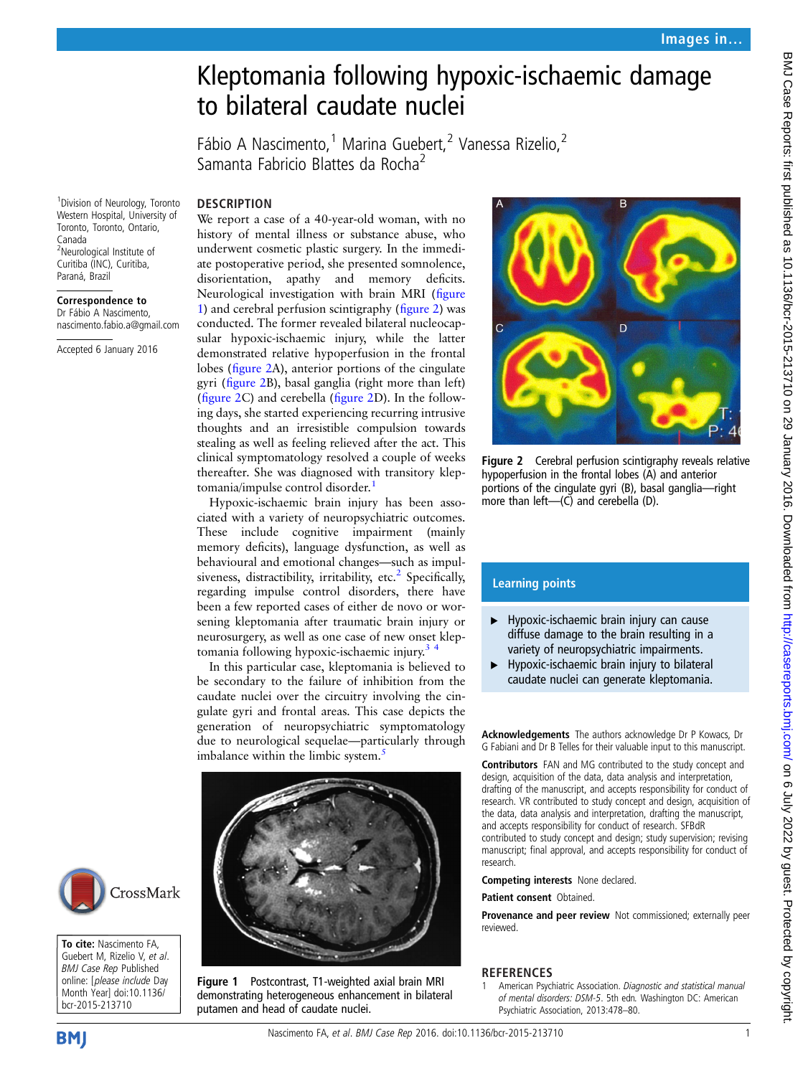## Kleptomania following hypoxic-ischaemic damage to bilateral caudate nuclei

Fábio A Nascimento,<sup>1</sup> Marina Guebert,<sup>2</sup> Vanessa Rizelio,<sup>2</sup> Samanta Fabricio Blattes da Rocha<sup>2</sup>

**DESCRIPTION** 

1 Division of Neurology, Toronto Western Hospital, University of Toronto, Toronto, Ontario, Canada <sup>2</sup>Neurological Institute of Curitiba (INC), Curitiba, Paraná, Brazil

Correspondence to

Dr Fábio A Nascimento, nascimento.fabio.a@gmail.com

Accepted 6 January 2016

We report a case of a 40-year-old woman, with no history of mental illness or substance abuse, who underwent cosmetic plastic surgery. In the immediate postoperative period, she presented somnolence, disorientation, apathy and memory deficits. Neurological investigation with brain MRI (figure 1) and cerebral perfusion scintigraphy (figure 2) was conducted. The former revealed bilateral nucleocapsular hypoxic-ischaemic injury, while the latter demonstrated relative hypoperfusion in the frontal lobes (figure 2A), anterior portions of the cingulate gyri (figure 2B), basal ganglia (right more than left) (figure 2C) and cerebella (figure 2D). In the following days, she started experiencing recurring intrusive thoughts and an irresistible compulsion towards stealing as well as feeling relieved after the act. This clinical symptomatology resolved a couple of weeks thereafter. She was diagnosed with transitory kleptomania/impulse control disorder.<sup>1</sup>

Hypoxic-ischaemic brain injury has been associated with a variety of neuropsychiatric outcomes. These include cognitive impairment (mainly memory deficits), language dysfunction, as well as behavioural and emotional changes—such as impul-siveness, distractibility, irritability, etc.<sup>[2](#page-1-0)</sup> Specifically, regarding impulse control disorders, there have been a few reported cases of either de novo or worsening kleptomania after traumatic brain injury or neurosurgery, as well as one case of new onset kleptomania following hypoxic-ischaemic injury.[3 4](#page-1-0)

In this particular case, kleptomania is believed to be secondary to the failure of inhibition from the caudate nuclei over the circuitry involving the cingulate gyri and frontal areas. This case depicts the generation of neuropsychiatric symptomatology due to neurological sequelae—particularly through imbalance within the limbic system.<sup>[5](#page-1-0)</sup>



Figure 1 Postcontrast, T1-weighted axial brain MRI demonstrating heterogeneous enhancement in bilateral putamen and head of caudate nuclei.



Figure 2 Cerebral perfusion scintigraphy reveals relative hypoperfusion in the frontal lobes (A) and anterior portions of the cingulate gyri (B), basal ganglia—right more than left—(C) and cerebella (D).

## Learning points

- $\blacktriangleright$  Hypoxic-ischaemic brain injury can cause diffuse damage to the brain resulting in a variety of neuropsychiatric impairments.
- $\blacktriangleright$  Hypoxic-ischaemic brain injury to bilateral caudate nuclei can generate kleptomania.

Acknowledgements The authors acknowledge Dr P Kowacs, Dr G Fabiani and Dr B Telles for their valuable input to this manuscript.

Contributors FAN and MG contributed to the study concept and design, acquisition of the data, data analysis and interpretation, drafting of the manuscript, and accepts responsibility for conduct of research. VR contributed to study concept and design, acquisition of the data, data analysis and interpretation, drafting the manuscript, and accepts responsibility for conduct of research. SFBdR contributed to study concept and design; study supervision; revising

manuscript; final approval, and accepts responsibility for conduct of research.

Competing interests None declared.

Patient consent Obtained.

Provenance and peer review Not commissioned; externally peer reviewed.

## REFERENCES

American Psychiatric Association. Diagnostic and statistical manual of mental disorders: DSM-5. 5th edn. Washington DC: American Psychiatric Association, 2013:478–80.

CrossMark

To cite: Nascimento FA. Guebert M, Rizelio V, et al. BMJ Case Rep Published online: [please include Day Month Year] doi:10.1136/ bcr-2015-213710